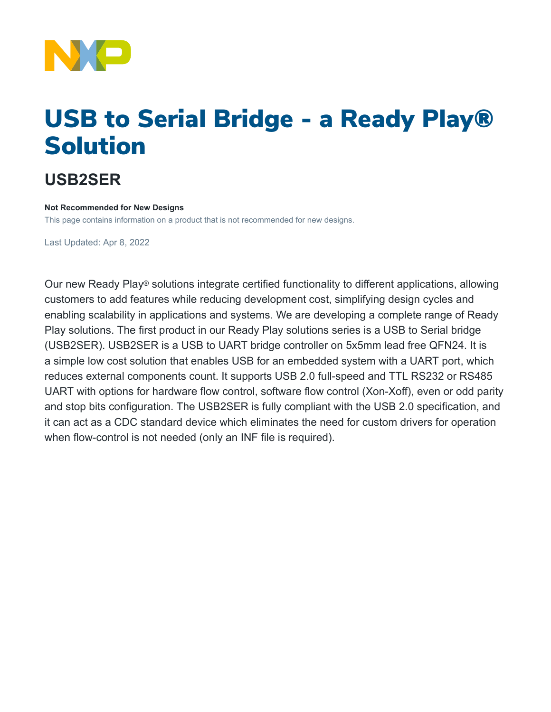

# USB to Serial Bridge - a Ready Play® Solution

## **USB2SER**

#### **Not Recommended for New Designs**

This page contains information on a product that is not recommended for new designs.

Last Updated: Apr 8, 2022

Our new Ready Play® solutions integrate certified functionality to different applications, allowing customers to add features while reducing development cost, simplifying design cycles and enabling scalability in applications and systems. We are developing a complete range of Ready Play solutions. The first product in our Ready Play solutions series is a USB to Serial bridge (USB2SER). USB2SER is a USB to UART bridge controller on 5x5mm lead free QFN24. It is a simple low cost solution that enables USB for an embedded system with a UART port, which reduces external components count. It supports USB 2.0 full-speed and TTL RS232 or RS485 UART with options for hardware flow control, software flow control (Xon-Xoff), even or odd parity and stop bits configuration. The USB2SER is fully compliant with the USB 2.0 specification, and it can act as a CDC standard device which eliminates the need for custom drivers for operation when flow-control is not needed (only an INF file is required).